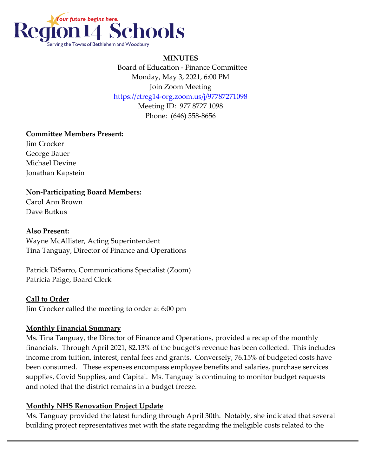

#### **MINUTES**

 Board of Education - Finance Committee Monday, May 3, 2021, 6:00 PM Join Zoom Meeting

<https://ctreg14-org.zoom.us/j/97787271098>

Meeting ID: 977 8727 1098 Phone: (646) 558-8656

#### **Committee Members Present:**

Jim Crocker George Bauer Michael Devine Jonathan Kapstein

# **Non-Participating Board Members:**

Carol Ann Brown Dave Butkus

### **Also Present:**

Wayne McAllister, Acting Superintendent Tina Tanguay, Director of Finance and Operations

Patrick DiSarro, Communications Specialist (Zoom) Patricia Paige, Board Clerk

#### **Call to Order**

Jim Crocker called the meeting to order at 6:00 pm

# **Monthly Financial Summary**

Ms. Tina Tanguay, the Director of Finance and Operations, provided a recap of the monthly financials. Through April 2021, 82.13% of the budget's revenue has been collected. This includes income from tuition, interest, rental fees and grants. Conversely, 76.15% of budgeted costs have been consumed. These expenses encompass employee benefits and salaries, purchase services supplies, Covid Supplies, and Capital. Ms. Tanguay is continuing to monitor budget requests and noted that the district remains in a budget freeze.

# **Monthly NHS Renovation Project Update**

Ms. Tanguay provided the latest funding through April 30th. Notably, she indicated that several building project representatives met with the state regarding the ineligible costs related to the